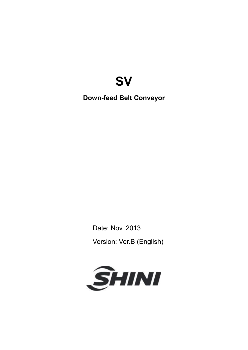# **SV**

**Down-feed Belt Conveyor** 

Date: Nov, 2013 Version: Ver.B (English)

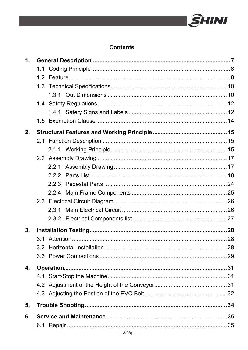

#### **Contents**

| $\mathbf 1$ . |  |  |  |  |  |  |
|---------------|--|--|--|--|--|--|
|               |  |  |  |  |  |  |
|               |  |  |  |  |  |  |
|               |  |  |  |  |  |  |
|               |  |  |  |  |  |  |
|               |  |  |  |  |  |  |
|               |  |  |  |  |  |  |
|               |  |  |  |  |  |  |
| 2.            |  |  |  |  |  |  |
|               |  |  |  |  |  |  |
|               |  |  |  |  |  |  |
|               |  |  |  |  |  |  |
|               |  |  |  |  |  |  |
|               |  |  |  |  |  |  |
|               |  |  |  |  |  |  |
|               |  |  |  |  |  |  |
|               |  |  |  |  |  |  |
|               |  |  |  |  |  |  |
|               |  |  |  |  |  |  |
| 3.            |  |  |  |  |  |  |
|               |  |  |  |  |  |  |
|               |  |  |  |  |  |  |
|               |  |  |  |  |  |  |
| 4.            |  |  |  |  |  |  |
|               |  |  |  |  |  |  |
|               |  |  |  |  |  |  |
|               |  |  |  |  |  |  |
| 5.            |  |  |  |  |  |  |
| 6.            |  |  |  |  |  |  |
|               |  |  |  |  |  |  |
|               |  |  |  |  |  |  |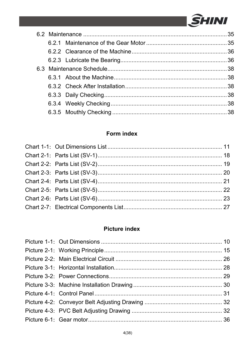

#### Form index

#### **Picture index**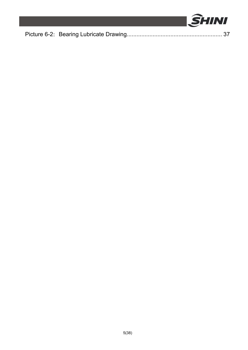| <b>SHINI</b> |
|--------------|
|              |

L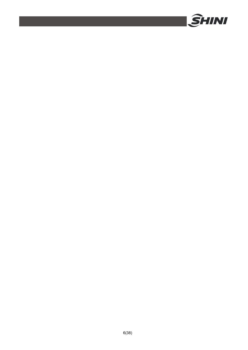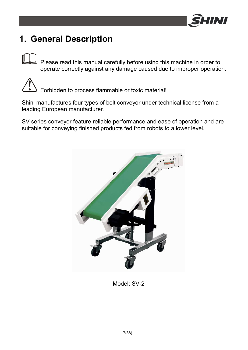

# **1. General Description**

Please read this manual carefully before using this machine in order to operate correctly against any damage caused due to improper operation.



Forbidden to process flammable or toxic material!

Shini manufactures four types of belt conveyor under technical license from a leading European manufacturer.

SV series conveyor feature reliable performance and ease of operation and are suitable for conveying finished products fed from robots to a lower level.



Model: SV-2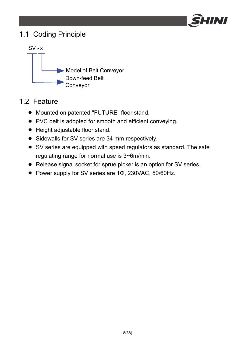

## 1.1 Coding Principle



### 1.2 Feature

- Mounted on patented "FUTURE" floor stand.
- PVC belt is adopted for smooth and efficient conveying.
- Height adjustable floor stand.
- Sidewalls for SV series are 34 mm respectively.
- SV series are equipped with speed regulators as standard. The safe regulating range for normal use is 3~6m/min.
- Release signal socket for sprue picker is an option for SV series.
- Power supply for SV series are 1Φ, 230VAC, 50/60Hz.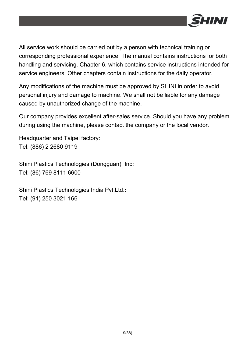

All service work should be carried out by a person with technical training or corresponding professional experience. The manual contains instructions for both handling and servicing. Chapter 6, which contains service instructions intended for service engineers. Other chapters contain instructions for the daily operator.

Any modifications of the machine must be approved by SHINI in order to avoid personal injury and damage to machine. We shall not be liable for any damage caused by unauthorized change of the machine.

Our company provides excellent after-sales service. Should you have any problem during using the machine, please contact the company or the local vendor.

Headquarter and Taipei factory: Tel: (886) 2 2680 9119

Shini Plastics Technologies (Dongguan), Inc: Tel: (86) 769 8111 6600

Shini Plastics Technologies India Pvt.Ltd.: Tel: (91) 250 3021 166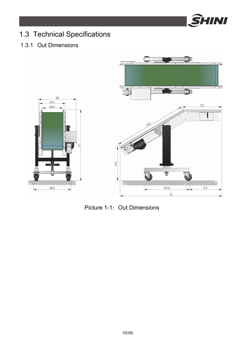

# 1.3 Technical Specifications

### 1.3.1 Out Dimensions



Picture 1-1: Out Dimensions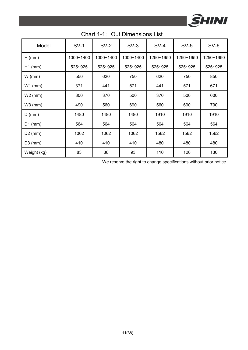

| Model       | $SV-1$    | $SV-2$    | $SV-3$    | $SV-4$      | $SV-5$    | $SV-6$    |
|-------------|-----------|-----------|-----------|-------------|-----------|-----------|
| $H$ (mm)    | 1000~1400 | 1000~1400 | 1000~1400 | 1250~1650   | 1250~1650 | 1250~1650 |
| $H1$ (mm)   | 525~925   | 525~925   | 525~925   | $525 - 925$ | 525~925   | 525~925   |
| W (mm)      | 550       | 620       | 750       | 620         | 750       | 850       |
| $W1$ (mm)   | 371       | 441       | 571       | 441         | 571       | 671       |
| $W2$ (mm)   | 300       | 370       | 500       | 370         | 500       | 600       |
| $W3$ (mm)   | 490       | 560       | 690       | 560         | 690       | 790       |
| $D$ (mm)    | 1480      | 1480      | 1480      | 1910        | 1910      | 1910      |
| $D1$ (mm)   | 564       | 564       | 564       | 564         | 564       | 564       |
| $D2$ (mm)   | 1062      | 1062      | 1062      | 1562        | 1562      | 1562      |
| $D3$ (mm)   | 410       | 410       | 410       | 480         | 480       | 480       |
| Weight (kg) | 83        | 88        | 93        | 110         | 120       | 130       |

#### Chart 1-1: Out Dimensions List

We reserve the right to change specifications without prior notice.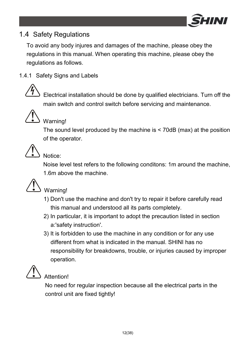

### 1.4 Safety Regulations

To avoid any body injures and damages of the machine, please obey the regulations in this manual. When operating this machine, please obey the regulations as follows.

1.4.1 Safety Signs and Labels



Electrical installation should be done by qualified electricians. Turn off the main switch and control switch before servicing and maintenance.



# Warning!

The sound level produced by the machine is < 70dB (max) at the position of the operator.



### Notice:

Noise level test refers to the following conditons: 1m around the machine, 1.6m above the machine.



### Warning!

- 1) Don't use the machine and don't try to repair it before carefully read this manual and understood all its parts completely.
- 2) In particular, it is important to adopt the precaution listed in section a:'safety instruction'.
- 3) It is forbidden to use the machine in any condition or for any use different from what is indicated in the manual. SHINI has no responsibility for breakdowns, trouble, or injuries caused by improper operation.



#### Attention!

No need for regular inspection because all the electrical parts in the control unit are fixed tightly!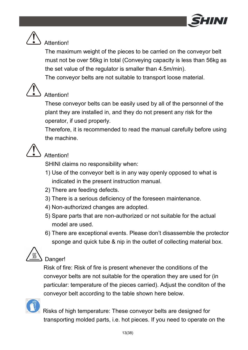

# Attention!

The maximum weight of the pieces to be carried on the conveyor belt must not be over 56kg in total (Conveying capacity is less than 56kg as the set value of the regulator is smaller than 4.5m/min).

The conveyor belts are not suitable to transport loose material.



### Attention!

These conveyor belts can be easily used by all of the personnel of the plant they are installed in, and they do not present any risk for the operator, if used properly.

Therefore, it is recommended to read the manual carefully before using the machine.



### Attention!

SHINI claims no responsibility when:

- 1) Use of the conveyor belt is in any way openly opposed to what is indicated in the present instruction manual.
- 2) There are feeding defects.
- 3) There is a serious deficiency of the foreseen maintenance.
- 4) Non-authorized changes are adopted.
- 5) Spare parts that are non-authorized or not suitable for the actual model are used.
- 6) There are exceptional events. Please don't disassemble the protector sponge and quick tube & nip in the outlet of collecting material box.



### Danger!

Risk of fire: Risk of fire is present whenever the conditions of the conveyor belts are not suitable for the operation they are used for (in particular: temperature of the pieces carried). Adjust the conditon of the conveyor belt according to the table shown here below.



Risks of high temperature: These conveyor belts are designed for transporting molded parts, i.e. hot pieces. If you need to operate on the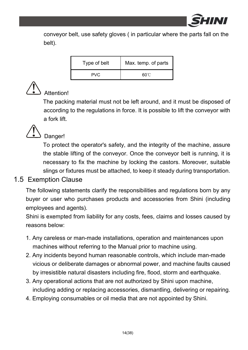

conveyor belt, use safety gloves ( in particular where the parts fall on the belt).

| Type of belt | Max. temp. of parts |
|--------------|---------------------|
| <b>PVC</b>   | 60°C                |

# Attention!

The packing material must not be left around, and it must be disposed of according to the regulations in force. It is possible to lift the conveyor with a fork lift.



# Danger!

To protect the operator's safety, and the integrity of the machine, assure the stable lifting of the conveyor. Once the conveyor belt is running, it is necessary to fix the machine by locking the castors. Moreover, suitable slings or fixtures must be attached, to keep it steady during transportation.

### 1.5 Exemption Clause

The following statements clarify the responsibilities and regulations born by any buyer or user who purchases products and accessories from Shini (including employees and agents).

Shini is exempted from liability for any costs, fees, claims and losses caused by reasons below:

- 1. Any careless or man-made installations, operation and maintenances upon machines without referring to the Manual prior to machine using.
- 2. Any incidents beyond human reasonable controls, which include man-made vicious or deliberate damages or abnormal power, and machine faults caused by irresistible natural disasters including fire, flood, storm and earthquake.
- 3. Any operational actions that are not authorized by Shini upon machine, including adding or replacing accessories, dismantling, delivering or repairing.
- 4. Employing consumables or oil media that are not appointed by Shini.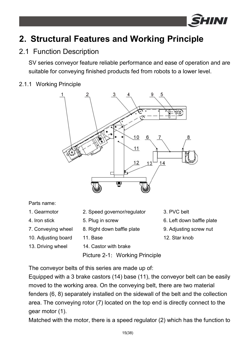

# **2. Structural Features and Working Principle**

### 2.1 Function Description

SV series conveyor feature reliable performance and ease of operation and are suitable for conveying finished products fed from robots to a lower level.

2.1.1 Working Principle



Parts name:

- 
- 
- 
- 10. Adjusting board 11. Base 12. Star knob
- 
- 1. Gearmotor 2. Speed governor/regulator 3. PVC belt
	-
- 7. Conveying wheel 8. Right down baffle plate 9. Adjusting screw nut
	-
- 13. Driving wheel 14. Castor with brake

Picture 2-1: Working Principle

- 
- 4. Iron stick 5. Plug in screw 6. Left down baffle plate
	-
	-

The conveyor belts of this series are made up of:

Equipped with a 3 brake castors (14) base (11), the conveyor belt can be easily moved to the working area. On the conveying belt, there are two material fenders (6, 8) separately installed on the sidewall of the belt and the collection area. The conveying rotor (7) located on the top end is directly connect to the gear motor (1).

Matched with the motor, there is a speed regulator (2) which has the function to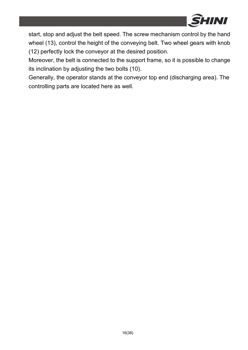

start, stop and adjust the belt speed. The screw mechanism control by the hand wheel (13), control the height of the conveying belt. Two wheel gears with knob (12) perfectly lock the conveyor at the desired position.

Moreover, the belt is connected to the support frame, so it is possible to change its inclination by adjusting the two bolts (10).

Generally, the operator stands at the conveyor top end (discharging area). The controlling parts are located here as well.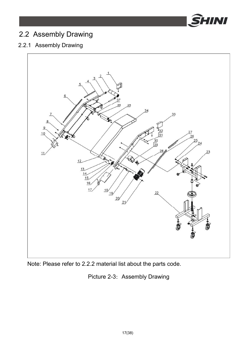

## 2.2 Assembly Drawing

#### 2.2.1 Assembly Drawing



Note: Please refer to 2.2.2 material list about the parts code.

Picture 2-3: Assembly Drawing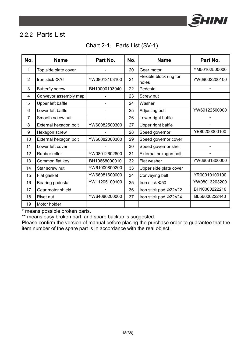

### 2.2.2 Parts List

|  | Chart 2-1: Parts List (SV-1) |
|--|------------------------------|
|--|------------------------------|

| No. | <b>Name</b>            | Part No.      | No. | <b>Name</b>                      | Part No.      |
|-----|------------------------|---------------|-----|----------------------------------|---------------|
| 1   | Top side plate cover   |               | 20  | Gear motor                       | YM50102500000 |
| 2   | Iron stick $\Phi$ 76   | YW08013103100 | 21  | Flexible block ring for<br>holes | YW69002200100 |
| 3   | <b>Butterfly screw</b> | BH10000103040 | 22  | Pedestal                         |               |
| 4   | Conveyor assembly map  |               | 23  | Screw nut                        |               |
| 5   | Upper left baffle      |               | 24  | Washer                           |               |
| 6   | Lower left baffle      |               | 25  | Adjusting bolt                   | YW69122500000 |
| 7   | Smooth screw nut       |               | 26  | Lower right baffle               |               |
| 8   | External hexagon bolt  | YW60082500300 | 27  | Upper right baffle               |               |
| 9   | Hexagon screw          |               | 28  | Speed governor                   | YE80200000100 |
| 10  | External hexagon bolt  | YW60082000300 | 29  | Speed governor cover             |               |
| 11  | Lower left cover       |               | 30  | Speed governor shell             |               |
| 12  | Rubber roller          | YW08012602600 | 31  | External hexagon bolt            |               |
| 13  | Common flat key        | BH10668000010 | 32  | Flat washer                      | YW66061800000 |
| 14  | Star screw nut         | YW61000800200 | 33  | Upper side plate cover           |               |
| 15  | Flat gasket            | YW66081600000 | 34  | Conveying belt                   | YR00010100100 |
| 16  | Bearing pedestal       | YW11205100100 | 35  | Iron stick ¢50                   | YW08013203200 |
| 17  | Gear motor shield      |               | 36  | Iron stick pad $\Phi$ 22×22      | BH10000222210 |
| 18  | <b>Rivet nut</b>       | YW64080200000 | 37  | Iron stick pad $\Phi$ 22×24      | BL56000222440 |
| 19  | Motor holder           |               |     |                                  |               |

\* means possible broken parts.

\*\* means easy broken part. and spare backup is suggested.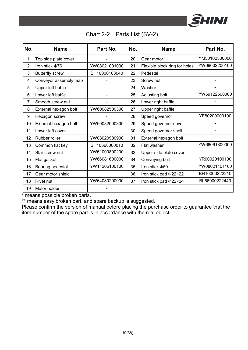

| No.            | <b>Name</b>            | Part No.      | No. | <b>Name</b>                   | Part No.      |
|----------------|------------------------|---------------|-----|-------------------------------|---------------|
| 1              | Top side plate cover   |               | 20  | Gear motor                    | YM50102500000 |
| $\overline{2}$ | Iron stick $\Phi$ 76   | YW08021001000 | 21  | Flexible block ring for holes | YW69002200100 |
| 3              | <b>Butterfly screw</b> | BH10000103040 | 22  | Pedestal                      |               |
| 4              | Conveyor assembly map  |               | 23  | Screw nut                     |               |
| 5              | Upper left baffle      |               | 24  | Washer                        |               |
| 6              | Lower left baffle      |               | 25  | Adjusting bolt                | YW69122500000 |
| 7              | Smooth screw nut       |               | 26  | Lower right baffle            |               |
| 8              | External hexagon bolt  | YW60082500300 | 27  | Upper right baffle            |               |
| 9              | Hexagon screw          |               | 28  | Speed governor                | YE80200000100 |
| 10             | External hexagon bolt  | YW60082000300 | 29  | Speed governor cover          |               |
| 11             | Lower left cover       |               | 30  | Speed governor shell          |               |
| 12             | Rubber roller          | YW08020900900 | 31  | External hexagon bolt         |               |
| 13             | Common flat key        | BH10668000010 | 32  | Flat washer                   | YW66061800000 |
| 14             | Star screw nut         | YW61000800200 | 33  | Upper side plate cover        |               |
| 15             | Flat gasket            | YW66081600000 | 34  | Conveying belt                | YR00020100100 |
| 16             | Bearing pedestal       | YW11205100100 | 35  | Iron stick $\Phi$ 50          | YW08021101100 |
| 17             | Gear motor shield      |               | 36  | Iron stick pad $\Phi$ 22×22   | BH10000222210 |
| 18             | Rivet nut              | YW64080200000 | 37  | Iron stick pad $\Phi$ 22×24   | BL56000222440 |
| 19             | Motor holder           |               |     |                               |               |

\*\* means easy broken part. and spare backup is suggested.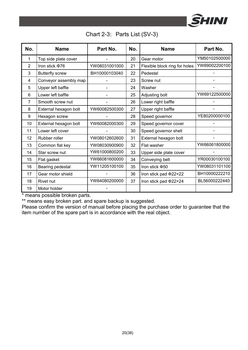

| No.            | <b>Name</b>            | Part No.      | No. | <b>Name</b>                   | Part No.      |
|----------------|------------------------|---------------|-----|-------------------------------|---------------|
| 1              | Top side plate cover   |               | 20  | Gear motor                    | YM50102500000 |
| $\overline{2}$ | Iron stick $\Phi$ 76   | YW08031001000 | 21  | Flexible block ring for holes | YW69002200100 |
| 3              | <b>Butterfly screw</b> | BH10000103040 | 22  | Pedestal                      |               |
| 4              | Conveyor assembly map  |               | 23  | Screw nut                     |               |
| 5              | Upper left baffle      |               | 24  | Washer                        |               |
| 6              | Lower left baffle      |               | 25  | Adjusting bolt                | YW69122500000 |
| 7              | Smooth screw nut       |               | 26  | Lower right baffle            |               |
| 8              | External hexagon bolt  | YW60082500300 | 27  | Upper right baffle            |               |
| 9              | Hexagon screw          |               | 28  | Speed governor                | YE80200000100 |
| 10             | External hexagon bolt  | YW60082000300 | 29  | Speed governor cover          |               |
| 11             | Lower left cover       |               | 30  | Speed governor shell          |               |
| 12             | Rubber roller          | YW08012602600 | 31  | External hexagon bolt         |               |
| 13             | Common flat key        | YW08030900900 | 32  | Flat washer                   | YW66061800000 |
| 14             | Star screw nut         | YW61000800200 | 33  | Upper side plate cover        |               |
| 15             | Flat gasket            | YW66081600000 | 34  | Conveying belt                | YR00030100100 |
| 16             | Bearing pedestal       | YW11205100100 | 35  | Iron stick $\Phi$ 50          | YW08031101100 |
| 17             | Gear motor shield      |               | 36  | Iron stick pad $\Phi$ 22×22   | BH10000222210 |
| 18             | Rivet nut              | YW64080200000 | 37  | Iron stick pad $\Phi$ 22×24   | BL56000222440 |
| 19             | Motor holder           |               |     |                               |               |

\*\* means easy broken part. and spare backup is suggested.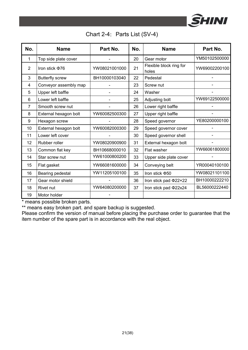

| No. | <b>Name</b>            | Part No.      | No. | <b>Name</b>                      | Part No.      |
|-----|------------------------|---------------|-----|----------------------------------|---------------|
| 1   | Top side plate cover   |               | 20  | Gear motor                       | YM50102500000 |
| 2   | Iron stick $\Phi$ 76   | YW08021001000 | 21  | Flexible block ring for<br>holes | YW69002200100 |
| 3   | <b>Butterfly screw</b> | BH10000103040 | 22  | Pedestal                         |               |
| 4   | Conveyor assembly map  |               | 23  | Screw nut                        |               |
| 5   | Upper left baffle      |               | 24  | Washer                           |               |
| 6   | Lower left baffle      |               | 25  | Adjusting bolt                   | YW69122500000 |
| 7   | Smooth screw nut       |               | 26  | Lower right baffle               |               |
| 8   | External hexagon bolt  | YW60082500300 | 27  | Upper right baffle               |               |
| 9   | Hexagon screw          |               | 28  | Speed governor                   | YE80200000100 |
| 10  | External hexagon bolt  | YW60082000300 | 29  | Speed governor cover             |               |
| 11  | Lower left cover       |               | 30  | Speed governor shell             |               |
| 12  | Rubber roller          | YW08020900900 | 31  | External hexagon bolt            |               |
| 13  | Common flat key        | BH10668000010 | 32  | Flat washer                      | YW66061800000 |
| 14  | Star screw nut         | YW61000800200 | 33  | Upper side plate cover           |               |
| 15  | Flat gasket            | YW66081600000 | 34  | Conveying belt                   | YR00040100100 |
| 16  | Bearing pedestal       | YW11205100100 | 35  | Iron stick $\Phi$ 50             | YW08021101100 |
| 17  | Gear motor shield      |               | 36  | Iron stick pad $\Phi$ 22×22      | BH10000222210 |
| 18  | Rivet nut              | YW64080200000 | 37  | Iron stick pad $\Phi$ 22x24      | BL56000222440 |
| 19  | Motor holder           |               |     |                                  |               |

\*\* means easy broken part. and spare backup is suggested.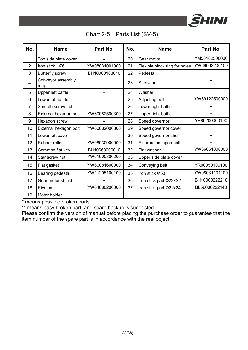

| No.            | <b>Name</b>              | Part No.      | No. | <b>Name</b>                   | Part No.      |
|----------------|--------------------------|---------------|-----|-------------------------------|---------------|
| 1              | Top side plate cover     |               | 20  | Gear motor                    | YM50102500000 |
| $\overline{2}$ | Iron stick $\Phi$ 76     | YW08031001000 | 21  | Flexible block ring for holes | YW69002200100 |
| 3              | <b>Butterfly screw</b>   | BH10000103040 | 22  | Pedestal                      |               |
| 4              | Conveyor assembly<br>map |               | 23  | Screw nut                     |               |
| 5              | Upper left baffle        |               | 24  | Washer                        |               |
| 6              | Lower left baffle        |               | 25  | Adjusting bolt                | YW69122500000 |
| $\overline{7}$ | Smooth screw nut         |               | 26  | Lower right baffle            |               |
| 8              | External hexagon bolt    | YW60082500300 | 27  | Upper right baffle            |               |
| 9              | Hexagon screw            |               | 28  | Speed governor                | YE80200000100 |
| 10             | External hexagon bolt    | YW60082000300 | 29  | Speed governor cover          |               |
| 11             | Lower left cover         |               | 30  | Speed governor shell          |               |
| 12             | Rubber roller            | YW08030900900 | 31  | External hexagon bolt         |               |
| 13             | Common flat key          | BH10668000010 | 32  | Flat washer                   | YW66061800000 |
| 14             | Star screw nut           | YW61000800200 | 33  | Upper side plate cover        |               |
| 15             | Flat gasket              | YW66081600000 | 34  | Conveying belt                | YR00050100100 |
| 16             | Bearing pedestal         | YW11205100100 | 35  | Iron stick $\Phi$ 50          | YW08031101100 |
| 17             | Gear motor shield        |               | 36  | Iron stick pad $\Phi$ 22×22   | BH10000222210 |
| 18             | Rivet nut                | YW64080200000 | 37  | Iron stick pad $\Phi$ 22x24   | BL56000222440 |
| 19             | Motor holder             |               |     |                               |               |

\*\* means easy broken part. and spare backup is suggested.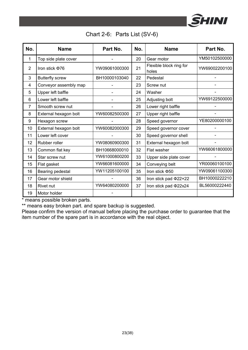

#### Chart 2-6: Parts List (SV-6)

| No.            | <b>Name</b>            | Part No.      | No. | <b>Name</b>                      | Part No.      |
|----------------|------------------------|---------------|-----|----------------------------------|---------------|
| 1              | Top side plate cover   |               | 20  | Gear motor                       | YM50102500000 |
| 2              | Iron stick $\Phi$ 76   | YW09061000300 | 21  | Flexible block ring for<br>holes | YW69002200100 |
| 3              | <b>Butterfly screw</b> | BH10000103040 | 22  | Pedestal                         |               |
| 4              | Conveyor assembly map  |               | 23  | Screw nut                        |               |
| 5              | Upper left baffle      |               | 24  | Washer                           |               |
| 6              | Lower left baffle      |               | 25  | Adjusting bolt                   | YW69122500000 |
| $\overline{7}$ | Smooth screw nut       |               | 26  | Lower right baffle               |               |
| 8              | External hexagon bolt  | YW60082500300 | 27  | Upper right baffle               |               |
| 9              | Hexagon screw          |               | 28  | Speed governor                   | YE80200000100 |
| 10             | External hexagon bolt  | YW60082000300 | 29  | Speed governor cover             |               |
| 11             | Lower left cover       |               | 30  | Speed governor shell             |               |
| 12             | Rubber roller          | YW08060900300 | 31  | External hexagon bolt            |               |
| 13             | Common flat key        | BH10668000010 | 32  | Flat washer                      | YW66061800000 |
| 14             | Star screw nut         | YW61000800200 | 33  | Upper side plate cover           |               |
| 15             | Flat gasket            | YW66081600000 | 34  | Conveying belt                   | YR00060100100 |
| 16             | Bearing pedestal       | YW11205100100 | 35  | Iron stick $\Phi$ 50             | YW09061100300 |
| 17             | Gear motor shield      |               | 36  | Iron stick pad $\Phi$ 22×22      | BH10000222210 |
| 18             | Rivet nut              | YW64080200000 | 37  | Iron stick pad $\Phi$ 22x24      | BL56000222440 |
| 19             | Motor holder           |               |     |                                  |               |

\* means possible broken parts.

\*\* means easy broken part. and spare backup is suggested.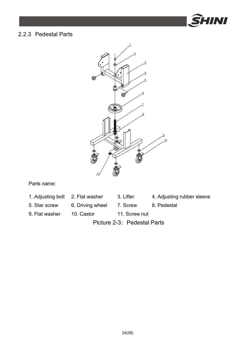

#### 2.2.3 Pedestal Parts



Parts name:

- -
- 
- 1. Adjusting bolt 2. Flat washer 3. Lifter 4. Adjusting rubber sleeve
- 5. Star screw 6. Driving wheel 7. Screw 8. Pedestal
	-
- 
- 
- 9. Flat washer 10. Castor 11. Screw nut
	- Picture 2-3: Pedestal Parts

24(38)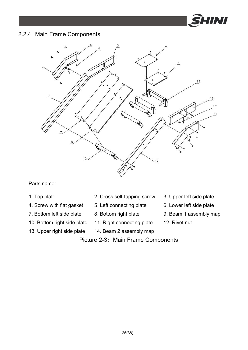

#### 2.2.4 Main Frame Components



Parts name:

- 
- 
- -
- 
- 
- 
- 10. Bottom right side plate 11. Right connecting plate 12. Rivet nut
- 13. Upper right side plate 14. Beam 2 assembly map
	- Picture 2-3: Main Frame Components
- 1. Top plate 2. Cross self-tapping screw 3. Upper left side plate
- 4. Screw with flat gasket 5. Left connecting plate 6. Lower left side plate
- 7. Bottom left side plate 8. Bottom right plate 9. Beam 1 assembly map
	-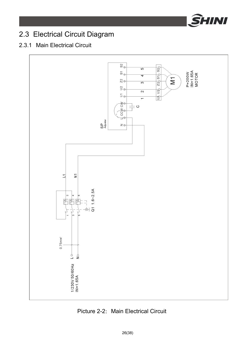

## 2.3 Electrical Circuit Diagram

#### 2.3.1 Main Electrical Circuit



Picture 2-2: Main Electrical Circuit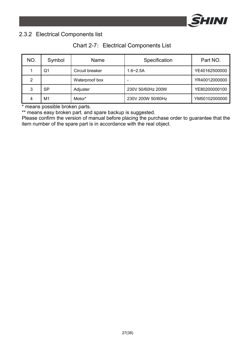

#### 2.3.2 Electrical Components list

| NO. | Symbol | Name            | Specification     | Part NO.      |
|-----|--------|-----------------|-------------------|---------------|
|     | Q1     | Circuit breaker | $1.6 - 2.5A$      | YE40162500000 |
| 2   |        | Waterproof box  |                   | YR40012000000 |
| 3   | SP     | Adjuster        | 230V 50/60Hz 200W | YE80200000100 |
| 4   | M1     | Motor*          | 230V 200W 50/60Hz | YM50102000000 |

\* means possible broken parts.

\*\* means easy broken part. and spare backup is suggested.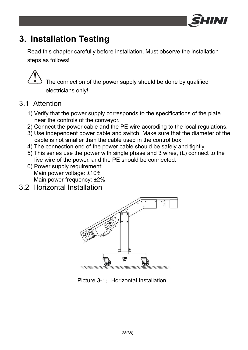

# **3. Installation Testing**

Read this chapter carefully before installation, Must observe the installation steps as follows!

The connection of the power supply should be done by qualified electricians only!

#### 3.1 Attention

- 1) Verify that the power supply corresponds to the specifications of the plate near the controls of the conveyor.
- 2) Connect the power cable and the PE wire accroding to the local regulations.
- 3) Use independent power cable and switch, Make sure that the diameter of the cable is not smaller than the cable used in the control box.
- 4) The connection end of the power cable should be safely and tightly.
- 5) This series use the power with single phase and 3 wires, (L) connect to the live wire of the power, and the PE should be connected.
- 6) Power supply requirement: Main power voltage: ±10% Main power frequency: ±2%
- 3.2 Horizontal Installation



Picture 3-1: Horizontal Installation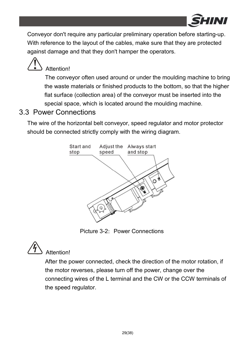

Conveyor don't require any particular preliminary operation before starting-up. With reference to the layout of the cables, make sure that they are protected against damage and that they don't hamper the operators.

# Attention!

The conveyor often used around or under the moulding machine to bring the waste materials or finished products to the bottom, so that the higher flat surface (collection area) of the conveyor must be inserted into the special space, which is located around the moulding machine.

### 3.3 Power Connections

The wire of the horizontal belt conveyor, speed regulator and motor protector should be connected strictly comply with the wiring diagram.



Picture 3-2: Power Connections



# Attention!

After the power connected, check the direction of the motor rotation, if the motor reverses, please turn off the power, change over the connecting wires of the L terminal and the CW or the CCW terminals of the speed regulator.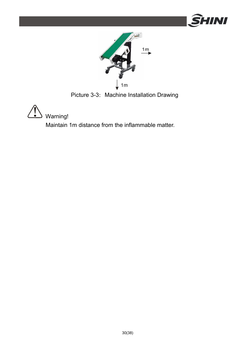



Picture 3-3: Machine Installation Drawing



Warning!

Maintain 1m distance from the inflammable matter.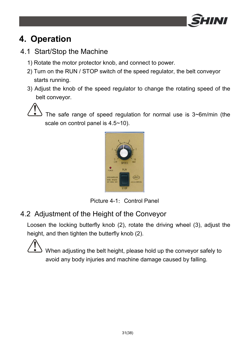

# **4. Operation**

- 4.1 Start/Stop the Machine
	- 1) Rotate the motor protector knob, and connect to power.
	- 2) Turn on the RUN / STOP switch of the speed regulator, the belt conveyor starts running.
	- 3) Adjust the knob of the speed regulator to change the rotating speed of the belt conveyor.

The safe range of speed regulation for normal use is 3~6m/min (the scale on control panel is 4.5~10).



Picture 4-1: Control Panel

# 4.2 Adjustment of the Height of the Conveyor

Loosen the locking butterfly knob (2), rotate the driving wheel (3), adjust the height, and then tighten the butterfly knob (2).



When adjusting the belt height, please hold up the conveyor safely to avoid any body injuries and machine damage caused by falling.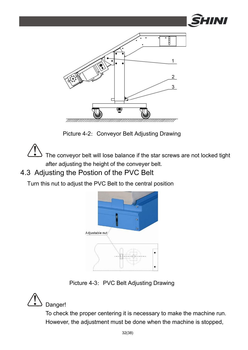



Picture 4-2: Conveyor Belt Adjusting Drawing

The conveyor belt will lose balance if the star screws are not locked tight after adjusting the height of the conveyer belt.

## 4.3 Adjusting the Postion of the PVC Belt

Turn this nut to adjust the PVC Belt to the central position



Picture 4-3: PVC Belt Adjusting Drawing

Danger!

To check the proper centering it is necessary to make the machine run. However, the adjustment must be done when the machine is stopped,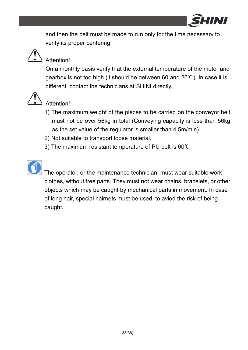

and then the belt must be made to run only for the time necessary to verify its proper centering.



# Attention!

On a monthly basis verify that the external temperature of the motor and gearbox is not too high (it should be between 60 and 20  $\mathbb{C}$ ). In case it is different, contact the technicians at SHINI directly.



## Attention!

- 1) The maximum weight of the pieces to be carried on the conveyor belt must not be over 56kg in total (Conveying capacity is less than 56kg as the set value of the regulator is smaller than 4.5m/min).
- 2) Not suitable to transport loose material.
- 3) The maximum resistant temperature of PU belt is 60℃.



The operator, or the maintenance technician, must wear suitable work clothes, without free parts. They must not wear chains, bracelets, or other objects which may be caught by mechanical parts in movement. In case of long hair, special hairnets must be used, to aviod the risk of being caught.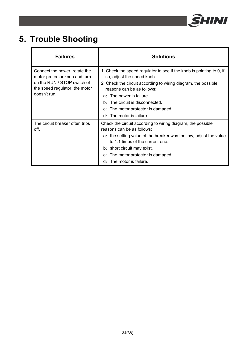

# **5. Trouble Shooting**

| <b>Failures</b>                                                                                                                                 | <b>Solutions</b>                                                                                                                                                                                                                                                                                                                       |  |
|-------------------------------------------------------------------------------------------------------------------------------------------------|----------------------------------------------------------------------------------------------------------------------------------------------------------------------------------------------------------------------------------------------------------------------------------------------------------------------------------------|--|
| Connect the power, rotate the<br>motor protector knob and turn<br>on the RUN / STOP switch of<br>the speed regulator, the motor<br>doesn't run. | 1. Check the speed regulator to see if the knob is pointing to 0, if<br>so, adjust the speed knob.<br>2. Check the circuit according to wiring diagram, the possible<br>reasons can be as follows:<br>a: The power is failure.<br>b: The circuit is disconnected.<br>c: The motor protector is damaged.<br>The motor is failure.<br>d٠ |  |
| The circuit breaker often trips<br>off.                                                                                                         | Check the circuit according to wiring diagram, the possible<br>reasons can be as follows:<br>a: the setting value of the breaker was too low, adjust the value<br>to 1.1 times of the current one.<br>b: short circuit may exist.<br>The motor protector is damaged.<br>The motor is failure.<br>d٠                                    |  |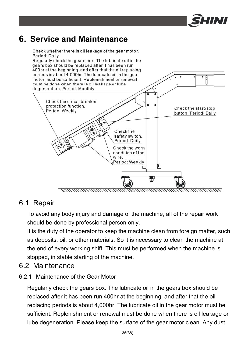

# **6. Service and Maintenance**



### 6.1 Repair

To avoid any body injury and damage of the machine, all of the repair work should be done by professional person only.

It is the duty of the operator to keep the machine clean from foreign matter, such as deposits, oil, or other materials. So it is necessary to clean the machine at the end of every working shift. This must be performed when the machine is stopped, in stable starting of the machine.

#### 6.2 Maintenance

#### 6.2.1 Maintenance of the Gear Motor

Regularly check the gears box. The lubricate oil in the gears box should be replaced after it has been run 400hr at the beginning, and after that the oil replacing periods is about 4,000hr. The lubricate oil in the gear motor must be sufficient. Replenishment or renewal must be done when there is oil leakage or lube degeneration. Please keep the surface of the gear motor clean. Any dust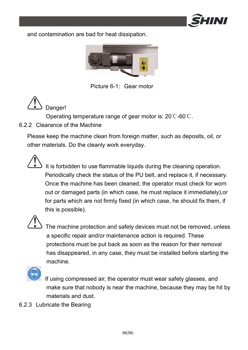

and contamination are bad for heat dissipation.



Picture 6-1: Gear motor



Operating temperature range of gear motor is: 20℃-60℃.

6.2.2 Clearance of the Machine

Please keep the machine clean from foreign matter, such as deposits, oil, or other materials. Do the cleanly work everyday.



It is forbidden to use flammable liquids during the cleaning operation. Periodically check the status of the PU belt, and replace it, if necessary. Once the machine has been cleaned, the operator must check for worn out or damaged parts (in which case, he must replace it immediately),or for parts which are not firmly fixed (in which case, he should fix them, if this is possible).



The machine protection and safety devices must not be removed, unless a specific repair and/or maintenance action is required. These protections must be put back as soon as the reason for their removal has disappeared, in any case, they must be installed before starting the machine.



If using compressed air, the operator must wear safety glasses, and make sure that nobody is near the machine, because they may be hit by materials and dust.

6.2.3 Lubricate the Bearing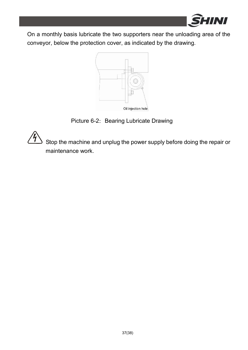

On a monthly basis lubricate the two supporters near the unloading area of the conveyor, below the protection cover, as indicated by the drawing.



Picture 6-2: Bearing Lubricate Drawing



Stop the machine and unplug the power supply before doing the repair or maintenance work.